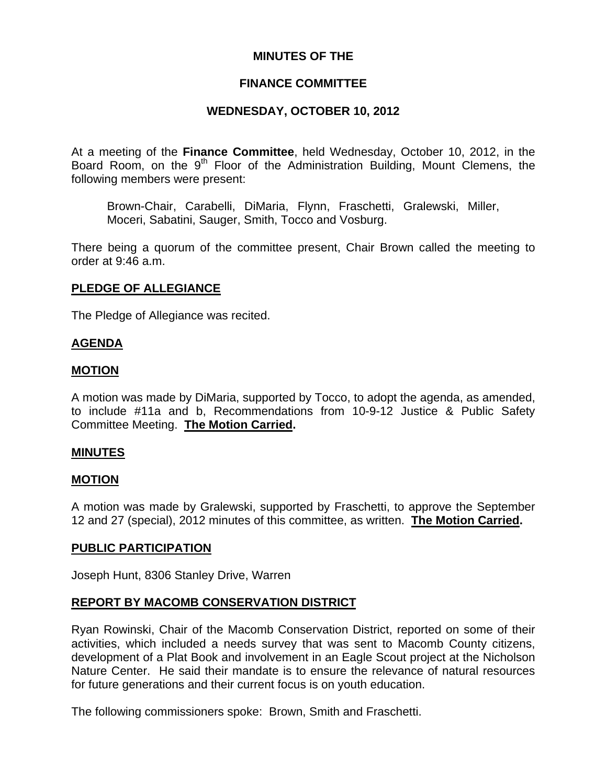# **MINUTES OF THE**

# **FINANCE COMMITTEE**

# **WEDNESDAY, OCTOBER 10, 2012**

At a meeting of the **Finance Committee**, held Wednesday, October 10, 2012, in the Board Room, on the 9<sup>th</sup> Floor of the Administration Building, Mount Clemens, the following members were present:

Brown-Chair, Carabelli, DiMaria, Flynn, Fraschetti, Gralewski, Miller, Moceri, Sabatini, Sauger, Smith, Tocco and Vosburg.

There being a quorum of the committee present, Chair Brown called the meeting to order at 9:46 a.m.

# **PLEDGE OF ALLEGIANCE**

The Pledge of Allegiance was recited.

## **AGENDA**

### **MOTION**

A motion was made by DiMaria, supported by Tocco, to adopt the agenda, as amended, to include #11a and b, Recommendations from 10-9-12 Justice & Public Safety Committee Meeting. **The Motion Carried.** 

### **MINUTES**

### **MOTION**

A motion was made by Gralewski, supported by Fraschetti, to approve the September 12 and 27 (special), 2012 minutes of this committee, as written. **The Motion Carried.** 

### **PUBLIC PARTICIPATION**

Joseph Hunt, 8306 Stanley Drive, Warren

# **REPORT BY MACOMB CONSERVATION DISTRICT**

Ryan Rowinski, Chair of the Macomb Conservation District, reported on some of their activities, which included a needs survey that was sent to Macomb County citizens, development of a Plat Book and involvement in an Eagle Scout project at the Nicholson Nature Center. He said their mandate is to ensure the relevance of natural resources for future generations and their current focus is on youth education.

The following commissioners spoke: Brown, Smith and Fraschetti.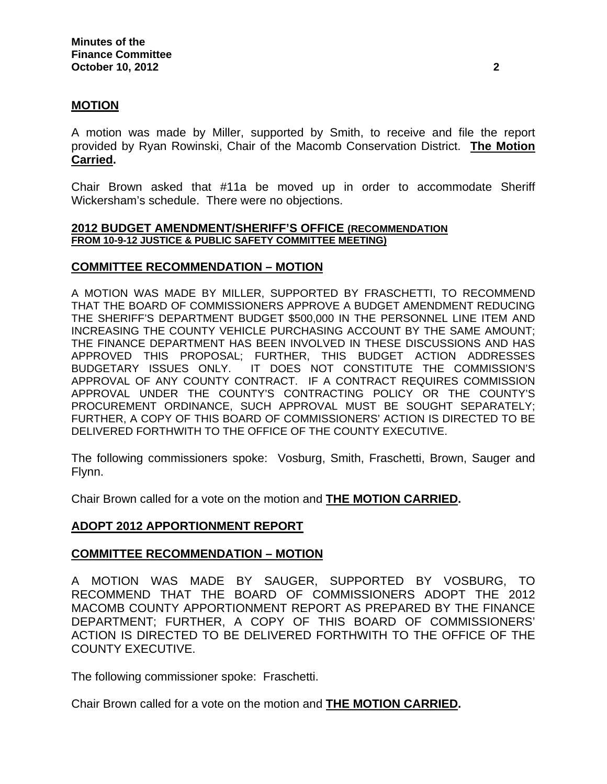### **MOTION**

A motion was made by Miller, supported by Smith, to receive and file the report provided by Ryan Rowinski, Chair of the Macomb Conservation District. **The Motion Carried.** 

Chair Brown asked that #11a be moved up in order to accommodate Sheriff Wickersham's schedule. There were no objections.

#### **2012 BUDGET AMENDMENT/SHERIFF'S OFFICE (RECOMMENDATION FROM 10-9-12 JUSTICE & PUBLIC SAFETY COMMITTEE MEETING)**

#### **COMMITTEE RECOMMENDATION – MOTION**

A MOTION WAS MADE BY MILLER, SUPPORTED BY FRASCHETTI, TO RECOMMEND THAT THE BOARD OF COMMISSIONERS APPROVE A BUDGET AMENDMENT REDUCING THE SHERIFF'S DEPARTMENT BUDGET \$500,000 IN THE PERSONNEL LINE ITEM AND INCREASING THE COUNTY VEHICLE PURCHASING ACCOUNT BY THE SAME AMOUNT; THE FINANCE DEPARTMENT HAS BEEN INVOLVED IN THESE DISCUSSIONS AND HAS APPROVED THIS PROPOSAL; FURTHER, THIS BUDGET ACTION ADDRESSES BUDGETARY ISSUES ONLY. IT DOES NOT CONSTITUTE THE COMMISSION'S APPROVAL OF ANY COUNTY CONTRACT. IF A CONTRACT REQUIRES COMMISSION APPROVAL UNDER THE COUNTY'S CONTRACTING POLICY OR THE COUNTY'S PROCUREMENT ORDINANCE, SUCH APPROVAL MUST BE SOUGHT SEPARATELY; FURTHER, A COPY OF THIS BOARD OF COMMISSIONERS' ACTION IS DIRECTED TO BE DELIVERED FORTHWITH TO THE OFFICE OF THE COUNTY EXECUTIVE.

The following commissioners spoke: Vosburg, Smith, Fraschetti, Brown, Sauger and Flynn.

Chair Brown called for a vote on the motion and **THE MOTION CARRIED.** 

### **ADOPT 2012 APPORTIONMENT REPORT**

### **COMMITTEE RECOMMENDATION – MOTION**

A MOTION WAS MADE BY SAUGER, SUPPORTED BY VOSBURG, TO RECOMMEND THAT THE BOARD OF COMMISSIONERS ADOPT THE 2012 MACOMB COUNTY APPORTIONMENT REPORT AS PREPARED BY THE FINANCE DEPARTMENT; FURTHER, A COPY OF THIS BOARD OF COMMISSIONERS' ACTION IS DIRECTED TO BE DELIVERED FORTHWITH TO THE OFFICE OF THE COUNTY EXECUTIVE.

The following commissioner spoke: Fraschetti.

Chair Brown called for a vote on the motion and **THE MOTION CARRIED.**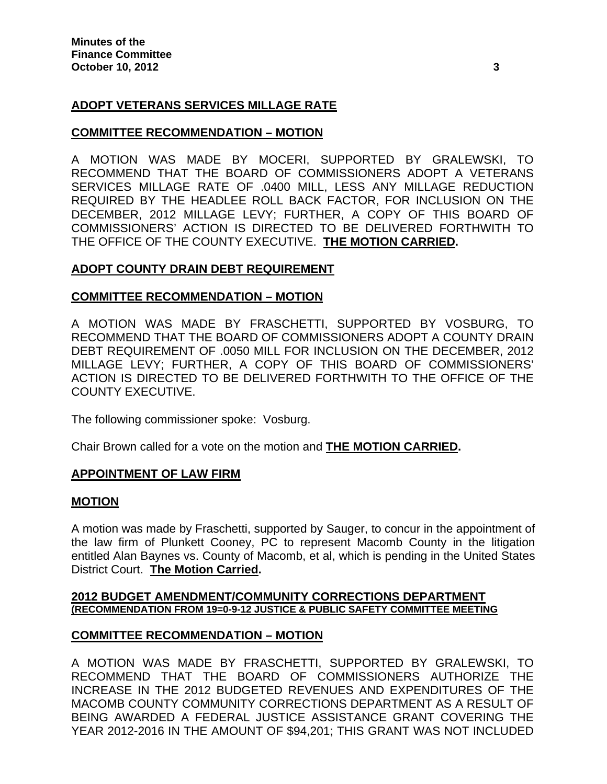# **ADOPT VETERANS SERVICES MILLAGE RATE**

### **COMMITTEE RECOMMENDATION – MOTION**

A MOTION WAS MADE BY MOCERI, SUPPORTED BY GRALEWSKI, TO RECOMMEND THAT THE BOARD OF COMMISSIONERS ADOPT A VETERANS SERVICES MILLAGE RATE OF .0400 MILL, LESS ANY MILLAGE REDUCTION REQUIRED BY THE HEADLEE ROLL BACK FACTOR, FOR INCLUSION ON THE DECEMBER, 2012 MILLAGE LEVY; FURTHER, A COPY OF THIS BOARD OF COMMISSIONERS' ACTION IS DIRECTED TO BE DELIVERED FORTHWITH TO THE OFFICE OF THE COUNTY EXECUTIVE. **THE MOTION CARRIED.** 

### **ADOPT COUNTY DRAIN DEBT REQUIREMENT**

#### **COMMITTEE RECOMMENDATION – MOTION**

A MOTION WAS MADE BY FRASCHETTI, SUPPORTED BY VOSBURG, TO RECOMMEND THAT THE BOARD OF COMMISSIONERS ADOPT A COUNTY DRAIN DEBT REQUIREMENT OF .0050 MILL FOR INCLUSION ON THE DECEMBER, 2012 MILLAGE LEVY; FURTHER, A COPY OF THIS BOARD OF COMMISSIONERS' ACTION IS DIRECTED TO BE DELIVERED FORTHWITH TO THE OFFICE OF THE COUNTY EXECUTIVE.

The following commissioner spoke: Vosburg.

Chair Brown called for a vote on the motion and **THE MOTION CARRIED.**

#### **APPOINTMENT OF LAW FIRM**

#### **MOTION**

A motion was made by Fraschetti, supported by Sauger, to concur in the appointment of the law firm of Plunkett Cooney, PC to represent Macomb County in the litigation entitled Alan Baynes vs. County of Macomb, et al, which is pending in the United States District Court. **The Motion Carried.** 

#### **2012 BUDGET AMENDMENT/COMMUNITY CORRECTIONS DEPARTMENT (RECOMMENDATION FROM 19=0-9-12 JUSTICE & PUBLIC SAFETY COMMITTEE MEETING**

### **COMMITTEE RECOMMENDATION – MOTION**

A MOTION WAS MADE BY FRASCHETTI, SUPPORTED BY GRALEWSKI, TO RECOMMEND THAT THE BOARD OF COMMISSIONERS AUTHORIZE THE INCREASE IN THE 2012 BUDGETED REVENUES AND EXPENDITURES OF THE MACOMB COUNTY COMMUNITY CORRECTIONS DEPARTMENT AS A RESULT OF BEING AWARDED A FEDERAL JUSTICE ASSISTANCE GRANT COVERING THE YEAR 2012-2016 IN THE AMOUNT OF \$94,201; THIS GRANT WAS NOT INCLUDED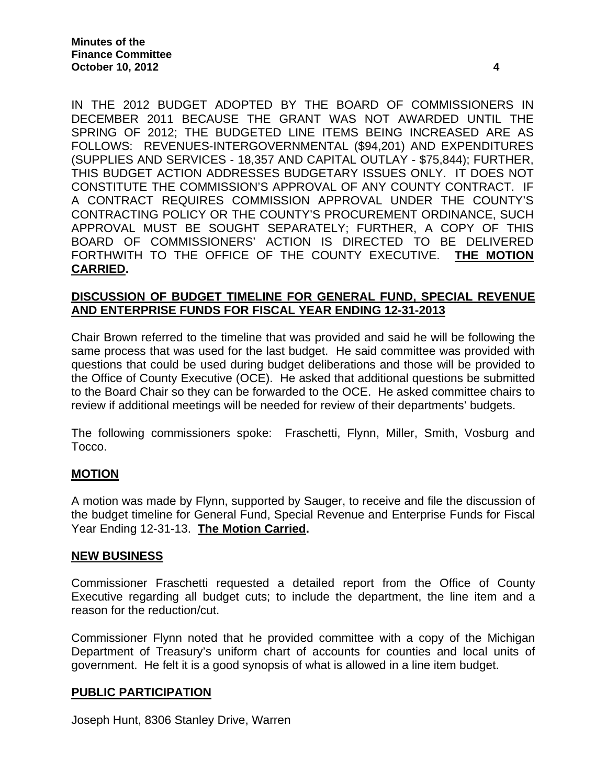IN THE 2012 BUDGET ADOPTED BY THE BOARD OF COMMISSIONERS IN DECEMBER 2011 BECAUSE THE GRANT WAS NOT AWARDED UNTIL THE SPRING OF 2012; THE BUDGETED LINE ITEMS BEING INCREASED ARE AS FOLLOWS: REVENUES-INTERGOVERNMENTAL (\$94,201) AND EXPENDITURES (SUPPLIES AND SERVICES - 18,357 AND CAPITAL OUTLAY - \$75,844); FURTHER, THIS BUDGET ACTION ADDRESSES BUDGETARY ISSUES ONLY. IT DOES NOT CONSTITUTE THE COMMISSION'S APPROVAL OF ANY COUNTY CONTRACT. IF A CONTRACT REQUIRES COMMISSION APPROVAL UNDER THE COUNTY'S CONTRACTING POLICY OR THE COUNTY'S PROCUREMENT ORDINANCE, SUCH APPROVAL MUST BE SOUGHT SEPARATELY; FURTHER, A COPY OF THIS BOARD OF COMMISSIONERS' ACTION IS DIRECTED TO BE DELIVERED FORTHWITH TO THE OFFICE OF THE COUNTY EXECUTIVE. **THE MOTION CARRIED.** 

### **DISCUSSION OF BUDGET TIMELINE FOR GENERAL FUND, SPECIAL REVENUE AND ENTERPRISE FUNDS FOR FISCAL YEAR ENDING 12-31-2013**

Chair Brown referred to the timeline that was provided and said he will be following the same process that was used for the last budget. He said committee was provided with questions that could be used during budget deliberations and those will be provided to the Office of County Executive (OCE). He asked that additional questions be submitted to the Board Chair so they can be forwarded to the OCE. He asked committee chairs to review if additional meetings will be needed for review of their departments' budgets.

The following commissioners spoke: Fraschetti, Flynn, Miller, Smith, Vosburg and Tocco.

### **MOTION**

A motion was made by Flynn, supported by Sauger, to receive and file the discussion of the budget timeline for General Fund, Special Revenue and Enterprise Funds for Fiscal Year Ending 12-31-13. **The Motion Carried.** 

### **NEW BUSINESS**

Commissioner Fraschetti requested a detailed report from the Office of County Executive regarding all budget cuts; to include the department, the line item and a reason for the reduction/cut.

Commissioner Flynn noted that he provided committee with a copy of the Michigan Department of Treasury's uniform chart of accounts for counties and local units of government. He felt it is a good synopsis of what is allowed in a line item budget.

### **PUBLIC PARTICIPATION**

Joseph Hunt, 8306 Stanley Drive, Warren